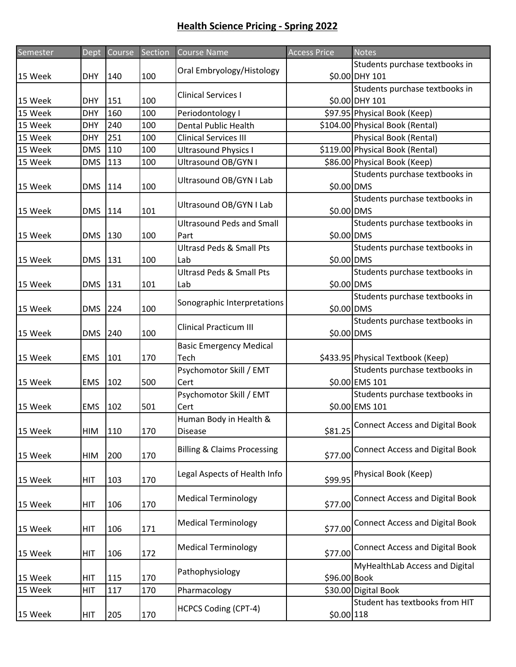| Semester | Dept       | <b>Course</b> | Section | <b>Course Name</b>                       | <b>Access Price</b> | <b>Notes</b>                           |
|----------|------------|---------------|---------|------------------------------------------|---------------------|----------------------------------------|
|          |            |               |         | Oral Embryology/Histology                |                     | Students purchase textbooks in         |
| 15 Week  | <b>DHY</b> | 140           | 100     |                                          |                     | \$0.00 DHY 101                         |
|          |            |               |         | <b>Clinical Services I</b>               |                     | Students purchase textbooks in         |
| 15 Week  | <b>DHY</b> | 151           | 100     |                                          |                     | \$0.00 DHY 101                         |
| 15 Week  | <b>DHY</b> | 160           | 100     | Periodontology I                         |                     | \$97.95 Physical Book (Keep)           |
| 15 Week  | <b>DHY</b> | 240           | 100     | <b>Dental Public Health</b>              |                     | \$104.00 Physical Book (Rental)        |
| 15 Week  | <b>DHY</b> | 251           | 100     | <b>Clinical Services III</b>             |                     | Physical Book (Rental)                 |
| 15 Week  | <b>DMS</b> | 110           | 100     | <b>Ultrasound Physics I</b>              |                     | \$119.00 Physical Book (Rental)        |
| 15 Week  | <b>DMS</b> | 113           | 100     | Ultrasound OB/GYN I                      |                     | \$86.00 Physical Book (Keep)           |
| 15 Week  | <b>DMS</b> | 114           | 100     | Ultrasound OB/GYN I Lab                  | \$0.00 DMS          | Students purchase textbooks in         |
| 15 Week  | <b>DMS</b> | 114           | 101     | Ultrasound OB/GYN I Lab                  | \$0.00 DMS          | Students purchase textbooks in         |
|          |            |               |         | <b>Ultrasound Peds and Small</b>         |                     | Students purchase textbooks in         |
| 15 Week  | <b>DMS</b> | 130           | 100     | Part                                     | \$0.00 DMS          |                                        |
|          |            |               |         | <b>Ultrasd Peds &amp; Small Pts</b>      |                     | Students purchase textbooks in         |
| 15 Week  | <b>DMS</b> | 131           | 100     | Lab                                      | \$0.00 DMS          |                                        |
|          |            |               |         | <b>Ultrasd Peds &amp; Small Pts</b>      |                     | Students purchase textbooks in         |
| 15 Week  | <b>DMS</b> | 131           | 101     | Lab                                      | \$0.00 DMS          |                                        |
| 15 Week  | <b>DMS</b> | 224           | 100     | Sonographic Interpretations              | \$0.00 DMS          | Students purchase textbooks in         |
| 15 Week  | <b>DMS</b> | 240           | 100     | <b>Clinical Practicum III</b>            | \$0.00 DMS          | Students purchase textbooks in         |
|          |            |               |         | <b>Basic Emergency Medical</b>           |                     |                                        |
| 15 Week  | <b>EMS</b> | 101           | 170     | Tech                                     |                     | \$433.95 Physical Textbook (Keep)      |
|          |            |               |         | Psychomotor Skill / EMT                  |                     | Students purchase textbooks in         |
| 15 Week  | <b>EMS</b> | 102           | 500     | Cert                                     |                     | \$0.00 EMS 101                         |
|          |            |               |         | Psychomotor Skill / EMT                  |                     | Students purchase textbooks in         |
| 15 Week  | <b>EMS</b> | 102           | 501     | Cert                                     |                     | \$0.00 EMS 101                         |
| 15 Week  | HIM        | 110           | 170     | Human Body in Health &<br><b>Disease</b> | \$81.25             | <b>Connect Access and Digital Book</b> |
| 15 Week  | <b>HIM</b> | 200           | 170     | <b>Billing &amp; Claims Processing</b>   | \$77.00             | <b>Connect Access and Digital Book</b> |
|          |            |               |         |                                          |                     |                                        |
| 15 Week  | <b>HIT</b> | 103           | 170     | Legal Aspects of Health Info             | \$99.95             | Physical Book (Keep)                   |
| 15 Week  | HIT        | 106           | 170     | <b>Medical Terminology</b>               | \$77.00             | <b>Connect Access and Digital Book</b> |
| 15 Week  | <b>HIT</b> | 106           | 171     | <b>Medical Terminology</b>               | \$77.00             | <b>Connect Access and Digital Book</b> |
| 15 Week  | <b>HIT</b> | 106           | 172     | <b>Medical Terminology</b>               | \$77.00             | <b>Connect Access and Digital Book</b> |
| 15 Week  | <b>HIT</b> | 115           | 170     | Pathophysiology                          | \$96.00 Book        | MyHealthLab Access and Digital         |
| 15 Week  | <b>HIT</b> | 117           | 170     | Pharmacology                             |                     | \$30.00 Digital Book                   |
|          |            |               |         |                                          |                     | Student has textbooks from HIT         |
| 15 Week  | HIT        | 205           | 170     | <b>HCPCS Coding (CPT-4)</b>              | $$0.00$ 118         |                                        |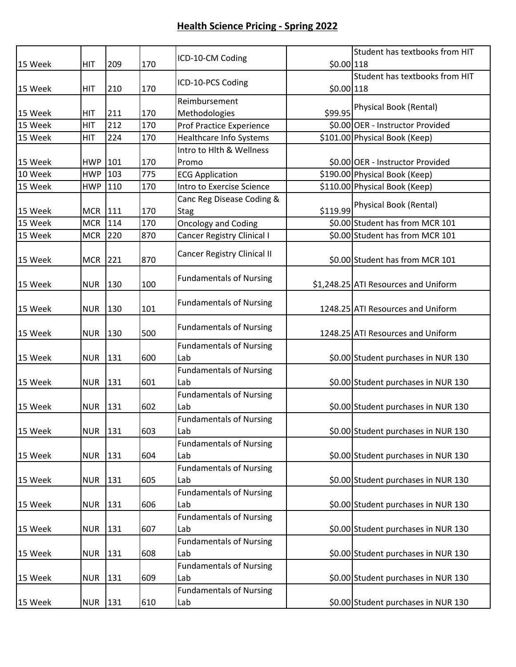| 15 Week | <b>HIT</b> | 209 | 170 | ICD-10-CM Coding                         | $$0.00$ 118 | Student has textbooks from HIT       |
|---------|------------|-----|-----|------------------------------------------|-------------|--------------------------------------|
|         |            |     |     |                                          |             | Student has textbooks from HIT       |
| 15 Week | <b>HIT</b> | 210 | 170 | ICD-10-PCS Coding                        | \$0.00 118  |                                      |
|         |            |     |     | Reimbursement                            |             | Physical Book (Rental)               |
| 15 Week | <b>HIT</b> | 211 | 170 | Methodologies                            | \$99.95     |                                      |
| 15 Week | <b>HIT</b> | 212 | 170 | <b>Prof Practice Experience</b>          |             | \$0.00 OER - Instructor Provided     |
| 15 Week | <b>HIT</b> | 224 | 170 | <b>Healthcare Info Systems</b>           |             | \$101.00 Physical Book (Keep)        |
|         |            |     |     | Intro to Hlth & Wellness                 |             |                                      |
| 15 Week | <b>HWP</b> | 101 | 170 | Promo                                    |             | \$0.00 OER - Instructor Provided     |
| 10 Week | <b>HWP</b> | 103 | 775 | <b>ECG Application</b>                   |             | \$190.00 Physical Book (Keep)        |
| 15 Week | <b>HWP</b> | 110 | 170 | Intro to Exercise Science                |             | \$110.00 Physical Book (Keep)        |
| 15 Week | <b>MCR</b> | 111 | 170 | Canc Reg Disease Coding &<br><b>Stag</b> | \$119.99    | Physical Book (Rental)               |
| 15 Week | <b>MCR</b> | 114 | 170 | <b>Oncology and Coding</b>               |             | \$0.00 Student has from MCR 101      |
| 15 Week | <b>MCR</b> | 220 | 870 | <b>Cancer Registry Clinical I</b>        |             | \$0.00 Student has from MCR 101      |
| 15 Week | <b>MCR</b> | 221 | 870 | <b>Cancer Registry Clinical II</b>       |             | \$0.00 Student has from MCR 101      |
|         |            |     |     |                                          |             |                                      |
| 15 Week | <b>NUR</b> | 130 | 100 | <b>Fundamentals of Nursing</b>           |             | \$1,248.25 ATI Resources and Uniform |
|         |            |     |     |                                          |             |                                      |
| 15 Week | <b>NUR</b> | 130 | 101 | <b>Fundamentals of Nursing</b>           |             | 1248.25 ATI Resources and Uniform    |
| 15 Week | <b>NUR</b> | 130 | 500 | <b>Fundamentals of Nursing</b>           |             | 1248.25 ATI Resources and Uniform    |
|         |            |     |     | <b>Fundamentals of Nursing</b>           |             |                                      |
| 15 Week | <b>NUR</b> | 131 | 600 | Lab                                      |             | \$0.00 Student purchases in NUR 130  |
|         |            |     |     | <b>Fundamentals of Nursing</b>           |             |                                      |
| 15 Week | <b>NUR</b> | 131 | 601 | Lab                                      |             | \$0.00 Student purchases in NUR 130  |
|         |            |     |     | <b>Fundamentals of Nursing</b>           |             |                                      |
| 15 Week | <b>NUR</b> | 131 | 602 | Lab                                      |             | \$0.00 Student purchases in NUR 130  |
|         |            |     |     | <b>Fundamentals of Nursing</b>           |             |                                      |
| 15 Week | <b>NUR</b> | 131 | 603 | Lab                                      |             | \$0.00 Student purchases in NUR 130  |
|         |            |     |     | <b>Fundamentals of Nursing</b>           |             |                                      |
| 15 Week | <b>NUR</b> | 131 | 604 | Lab                                      |             | \$0.00 Student purchases in NUR 130  |
|         |            |     |     | <b>Fundamentals of Nursing</b>           |             |                                      |
| 15 Week | <b>NUR</b> | 131 | 605 | Lab                                      |             | \$0.00 Student purchases in NUR 130  |
|         |            |     |     | <b>Fundamentals of Nursing</b>           |             |                                      |
| 15 Week | <b>NUR</b> | 131 | 606 | Lab                                      |             | \$0.00 Student purchases in NUR 130  |
|         |            |     |     | <b>Fundamentals of Nursing</b>           |             |                                      |
| 15 Week | <b>NUR</b> | 131 | 607 | Lab                                      |             | \$0.00 Student purchases in NUR 130  |
|         |            |     |     | <b>Fundamentals of Nursing</b>           |             |                                      |
| 15 Week | <b>NUR</b> | 131 | 608 | Lab                                      |             | \$0.00 Student purchases in NUR 130  |
|         |            |     |     | <b>Fundamentals of Nursing</b>           |             |                                      |
| 15 Week | <b>NUR</b> | 131 | 609 | Lab                                      |             | \$0.00 Student purchases in NUR 130  |
|         |            |     |     | <b>Fundamentals of Nursing</b>           |             |                                      |
| 15 Week | <b>NUR</b> | 131 | 610 | Lab                                      |             | \$0.00 Student purchases in NUR 130  |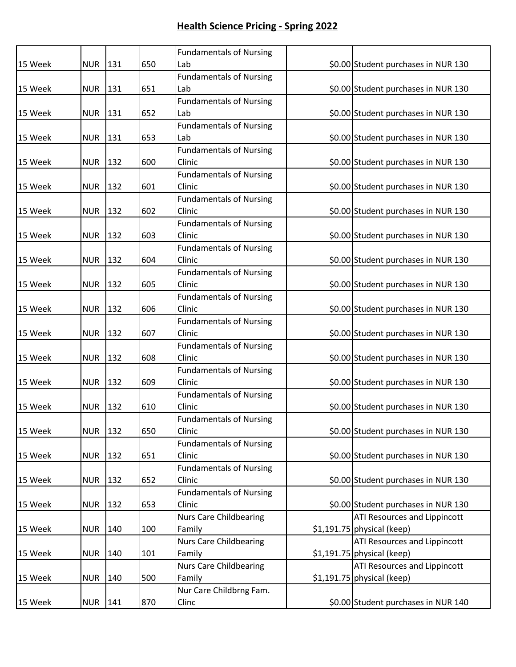|         |            |     |     | <b>Fundamentals of Nursing</b> |                                     |
|---------|------------|-----|-----|--------------------------------|-------------------------------------|
| 15 Week | <b>NUR</b> | 131 | 650 | Lab                            | \$0.00 Student purchases in NUR 130 |
|         |            |     |     | <b>Fundamentals of Nursing</b> |                                     |
| 15 Week | <b>NUR</b> | 131 | 651 | Lab                            | \$0.00 Student purchases in NUR 130 |
|         |            |     |     | <b>Fundamentals of Nursing</b> |                                     |
| 15 Week | <b>NUR</b> | 131 | 652 | Lab                            | \$0.00 Student purchases in NUR 130 |
|         |            |     |     | <b>Fundamentals of Nursing</b> |                                     |
| 15 Week | <b>NUR</b> | 131 | 653 | Lab                            | \$0.00 Student purchases in NUR 130 |
|         |            |     |     | <b>Fundamentals of Nursing</b> |                                     |
| 15 Week | <b>NUR</b> | 132 | 600 | Clinic                         | \$0.00 Student purchases in NUR 130 |
|         |            |     |     | <b>Fundamentals of Nursing</b> |                                     |
| 15 Week | <b>NUR</b> | 132 | 601 | Clinic                         | \$0.00 Student purchases in NUR 130 |
|         |            |     |     | <b>Fundamentals of Nursing</b> |                                     |
| 15 Week | <b>NUR</b> | 132 | 602 | Clinic                         | \$0.00 Student purchases in NUR 130 |
|         |            |     |     | <b>Fundamentals of Nursing</b> |                                     |
| 15 Week | <b>NUR</b> | 132 | 603 | Clinic                         | \$0.00 Student purchases in NUR 130 |
|         |            |     |     | <b>Fundamentals of Nursing</b> |                                     |
| 15 Week | <b>NUR</b> | 132 | 604 | Clinic                         | \$0.00 Student purchases in NUR 130 |
|         |            |     |     | <b>Fundamentals of Nursing</b> |                                     |
| 15 Week | <b>NUR</b> | 132 | 605 | Clinic                         | \$0.00 Student purchases in NUR 130 |
|         |            |     |     | <b>Fundamentals of Nursing</b> |                                     |
| 15 Week | <b>NUR</b> | 132 | 606 | Clinic                         | \$0.00 Student purchases in NUR 130 |
|         |            |     |     | <b>Fundamentals of Nursing</b> |                                     |
| 15 Week | <b>NUR</b> | 132 | 607 | Clinic                         | \$0.00 Student purchases in NUR 130 |
|         |            |     |     | <b>Fundamentals of Nursing</b> |                                     |
| 15 Week | <b>NUR</b> | 132 | 608 | Clinic                         | \$0.00 Student purchases in NUR 130 |
|         |            |     |     | <b>Fundamentals of Nursing</b> |                                     |
| 15 Week | <b>NUR</b> | 132 | 609 | Clinic                         | \$0.00 Student purchases in NUR 130 |
|         |            |     |     | <b>Fundamentals of Nursing</b> |                                     |
| 15 Week | <b>NUR</b> | 132 | 610 | Clinic                         | \$0.00 Student purchases in NUR 130 |
|         |            |     |     | <b>Fundamentals of Nursing</b> |                                     |
| 15 Week | <b>NUR</b> | 132 | 650 | Clinic                         | \$0.00 Student purchases in NUR 130 |
|         |            |     |     | <b>Fundamentals of Nursing</b> |                                     |
| 15 Week | <b>NUR</b> | 132 | 651 | Clinic                         | \$0.00 Student purchases in NUR 130 |
|         |            |     |     | <b>Fundamentals of Nursing</b> |                                     |
| 15 Week | <b>NUR</b> | 132 | 652 | Clinic                         | \$0.00 Student purchases in NUR 130 |
|         |            |     |     | <b>Fundamentals of Nursing</b> |                                     |
| 15 Week | <b>NUR</b> | 132 | 653 | Clinic                         | \$0.00 Student purchases in NUR 130 |
|         |            |     |     | <b>Nurs Care Childbearing</b>  | ATI Resources and Lippincott        |
| 15 Week | <b>NUR</b> | 140 | 100 | Family                         | $$1,191.75$ physical (keep)         |
|         |            |     |     | <b>Nurs Care Childbearing</b>  | ATI Resources and Lippincott        |
| 15 Week | <b>NUR</b> | 140 | 101 | Family                         | \$1,191.75 physical (keep)          |
|         |            |     |     | <b>Nurs Care Childbearing</b>  | ATI Resources and Lippincott        |
| 15 Week | <b>NUR</b> | 140 | 500 | Family                         | \$1,191.75 physical (keep)          |
|         |            |     |     | Nur Care Childbrng Fam.        |                                     |
| 15 Week | <b>NUR</b> | 141 | 870 | Clinc                          | \$0.00 Student purchases in NUR 140 |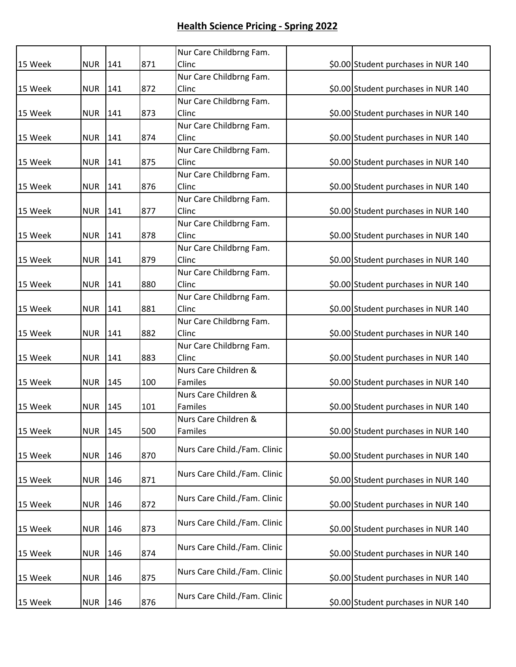|         |            |     |     | Nur Care Childbrng Fam.      |                                     |
|---------|------------|-----|-----|------------------------------|-------------------------------------|
| 15 Week | <b>NUR</b> | 141 | 871 | Clinc                        | \$0.00 Student purchases in NUR 140 |
|         |            |     |     | Nur Care Childbrng Fam.      |                                     |
| 15 Week | <b>NUR</b> | 141 | 872 | Clinc                        | \$0.00 Student purchases in NUR 140 |
|         |            |     |     | Nur Care Childbrng Fam.      |                                     |
| 15 Week | <b>NUR</b> | 141 | 873 | Clinc                        | \$0.00 Student purchases in NUR 140 |
|         |            |     |     | Nur Care Childbrng Fam.      |                                     |
| 15 Week | <b>NUR</b> | 141 | 874 | Clinc                        | \$0.00 Student purchases in NUR 140 |
|         |            |     |     | Nur Care Childbrng Fam.      |                                     |
| 15 Week | <b>NUR</b> | 141 | 875 | Clinc                        | \$0.00 Student purchases in NUR 140 |
|         |            |     |     | Nur Care Childbrng Fam.      |                                     |
| 15 Week | <b>NUR</b> | 141 | 876 | Clinc                        | \$0.00 Student purchases in NUR 140 |
|         |            |     |     | Nur Care Childbrng Fam.      |                                     |
| 15 Week | <b>NUR</b> | 141 | 877 | Clinc                        | \$0.00 Student purchases in NUR 140 |
|         |            |     |     | Nur Care Childbrng Fam.      |                                     |
| 15 Week | <b>NUR</b> | 141 | 878 | Clinc                        | \$0.00 Student purchases in NUR 140 |
|         |            |     |     | Nur Care Childbrng Fam.      |                                     |
| 15 Week | <b>NUR</b> | 141 | 879 | Clinc                        | \$0.00 Student purchases in NUR 140 |
|         |            |     |     | Nur Care Childbrng Fam.      |                                     |
| 15 Week | <b>NUR</b> | 141 | 880 | Clinc                        | \$0.00 Student purchases in NUR 140 |
|         |            |     |     | Nur Care Childbrng Fam.      |                                     |
| 15 Week | <b>NUR</b> | 141 | 881 | Clinc                        | \$0.00 Student purchases in NUR 140 |
|         |            |     |     | Nur Care Childbrng Fam.      |                                     |
| 15 Week | <b>NUR</b> | 141 | 882 | Clinc                        | \$0.00 Student purchases in NUR 140 |
|         |            |     |     | Nur Care Childbrng Fam.      |                                     |
| 15 Week | <b>NUR</b> | 141 | 883 | Clinc                        | \$0.00 Student purchases in NUR 140 |
|         |            |     |     | Nurs Care Children &         |                                     |
| 15 Week | <b>NUR</b> | 145 | 100 | Familes                      | \$0.00 Student purchases in NUR 140 |
|         |            |     |     | Nurs Care Children &         |                                     |
| 15 Week | <b>NUR</b> | 145 | 101 | Familes                      | \$0.00 Student purchases in NUR 140 |
|         |            |     |     | Nurs Care Children &         |                                     |
| 15 Week | <b>NUR</b> | 145 | 500 | Familes                      | \$0.00 Student purchases in NUR 140 |
|         |            |     |     | Nurs Care Child./Fam. Clinic |                                     |
| 15 Week | <b>NUR</b> | 146 | 870 |                              | \$0.00 Student purchases in NUR 140 |
|         |            |     |     | Nurs Care Child./Fam. Clinic |                                     |
| 15 Week | <b>NUR</b> | 146 | 871 |                              | \$0.00 Student purchases in NUR 140 |
|         |            |     |     | Nurs Care Child./Fam. Clinic |                                     |
| 15 Week | <b>NUR</b> | 146 | 872 |                              | \$0.00 Student purchases in NUR 140 |
|         |            |     |     | Nurs Care Child./Fam. Clinic |                                     |
| 15 Week | <b>NUR</b> | 146 | 873 |                              | \$0.00 Student purchases in NUR 140 |
|         |            |     |     | Nurs Care Child./Fam. Clinic |                                     |
| 15 Week | <b>NUR</b> | 146 | 874 |                              | \$0.00 Student purchases in NUR 140 |
|         |            |     |     | Nurs Care Child./Fam. Clinic |                                     |
| 15 Week | <b>NUR</b> | 146 | 875 |                              | \$0.00 Student purchases in NUR 140 |
|         |            |     |     | Nurs Care Child./Fam. Clinic |                                     |
| 15 Week | <b>NUR</b> | 146 | 876 |                              | \$0.00 Student purchases in NUR 140 |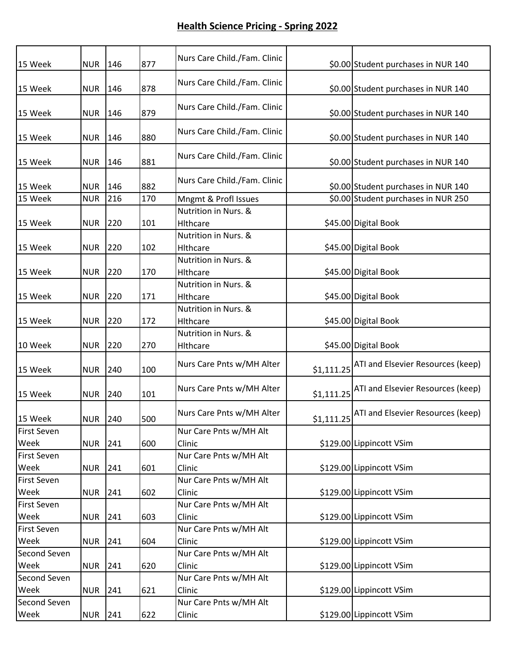| 15 Week                    | <b>NUR</b> | 146           | 877 | Nurs Care Child./Fam. Clinic     |            | \$0.00 Student purchases in NUR 140 |
|----------------------------|------------|---------------|-----|----------------------------------|------------|-------------------------------------|
| 15 Week                    | <b>NUR</b> | 146           | 878 | Nurs Care Child./Fam. Clinic     |            | \$0.00 Student purchases in NUR 140 |
| 15 Week                    | <b>NUR</b> | 146           | 879 | Nurs Care Child./Fam. Clinic     |            | \$0.00 Student purchases in NUR 140 |
| 15 Week                    | <b>NUR</b> | 146           | 880 | Nurs Care Child./Fam. Clinic     |            | \$0.00 Student purchases in NUR 140 |
| 15 Week                    | <b>NUR</b> | 146           | 881 | Nurs Care Child./Fam. Clinic     |            | \$0.00 Student purchases in NUR 140 |
| 15 Week                    | <b>NUR</b> | 146           | 882 | Nurs Care Child./Fam. Clinic     |            | \$0.00 Student purchases in NUR 140 |
| 15 Week                    | <b>NUR</b> | 216           | 170 | Mngmt & Profl Issues             |            | \$0.00 Student purchases in NUR 250 |
| 15 Week                    | <b>NUR</b> | 220           | 101 | Nutrition in Nurs. &<br>Hithcare |            | \$45.00 Digital Book                |
| 15 Week                    | <b>NUR</b> | 220           | 102 | Nutrition in Nurs. &<br>Hithcare |            | \$45.00 Digital Book                |
| 15 Week                    | <b>NUR</b> | 220           | 170 | Nutrition in Nurs. &<br>Hithcare |            | \$45.00 Digital Book                |
| 15 Week                    | <b>NUR</b> | 220           | 171 | Nutrition in Nurs. &<br>Hithcare |            | \$45.00 Digital Book                |
| 15 Week                    | <b>NUR</b> | 220           | 172 | Nutrition in Nurs. &<br>Hithcare |            | \$45.00 Digital Book                |
| 10 Week                    | <b>NUR</b> | 220           | 270 | Nutrition in Nurs. &<br>Hithcare |            | \$45.00 Digital Book                |
| 15 Week                    | <b>NUR</b> | 240           | 100 | Nurs Care Pnts w/MH Alter        | \$1,111.25 | ATI and Elsevier Resources (keep)   |
| 15 Week                    | <b>NUR</b> | 240           | 101 | Nurs Care Pnts w/MH Alter        | \$1,111.25 | ATI and Elsevier Resources (keep)   |
| 15 Week                    | <b>NUR</b> | 240           | 500 | Nurs Care Pnts w/MH Alter        | \$1,111.25 | ATI and Elsevier Resources (keep)   |
| <b>First Seven</b><br>Week | <b>NUR</b> | 241           | 600 | Nur Care Pnts w/MH Alt<br>Clinic |            | \$129.00 Lippincott VSim            |
| <b>First Seven</b><br>Week | <b>NUR</b> | 241           | 601 | Nur Care Pnts w/MH Alt<br>Clinic |            | \$129.00 Lippincott VSim            |
| <b>First Seven</b><br>Week | <b>NUR</b> | 241           | 602 | Nur Care Pnts w/MH Alt<br>Clinic |            | \$129.00 Lippincott VSim            |
| <b>First Seven</b><br>Week | <b>NUR</b> | 241           | 603 | Nur Care Pnts w/MH Alt<br>Clinic |            | \$129.00 Lippincott VSim            |
| <b>First Seven</b>         |            |               |     | Nur Care Pnts w/MH Alt           |            |                                     |
| Week                       | <b>NUR</b> | 241           | 604 | Clinic                           |            | \$129.00 Lippincott VSim            |
| Second Seven               |            |               |     | Nur Care Pnts w/MH Alt           |            |                                     |
| Week                       | <b>NUR</b> | 241           | 620 | Clinic                           |            | \$129.00 Lippincott VSim            |
| Second Seven               |            |               |     | Nur Care Pnts w/MH Alt           |            |                                     |
| Week                       | <b>NUR</b> | 241           | 621 | Clinic                           |            | \$129.00 Lippincott VSim            |
| Second Seven               |            |               |     | Nur Care Pnts w/MH Alt           |            |                                     |
| Week                       | <b>NUR</b> | $\boxed{241}$ | 622 | Clinic                           |            | \$129.00 Lippincott VSim            |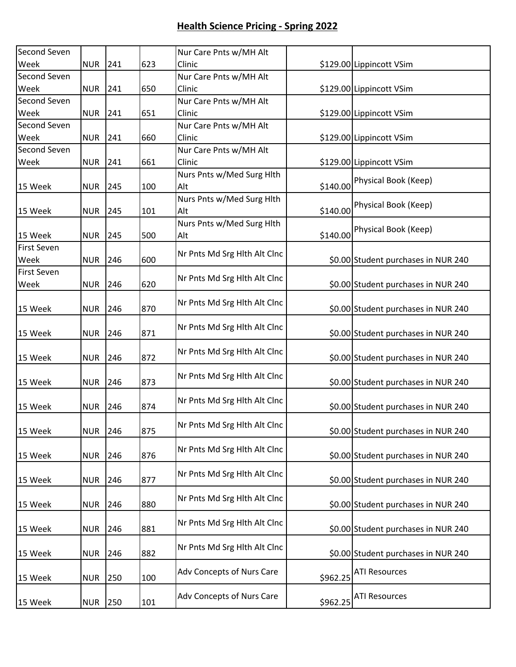| Second Seven       |            |     |     | Nur Care Pnts w/MH Alt       |          |                                     |
|--------------------|------------|-----|-----|------------------------------|----------|-------------------------------------|
| Week               | <b>NUR</b> | 241 | 623 | Clinic                       |          | \$129.00 Lippincott VSim            |
| Second Seven       |            |     |     | Nur Care Pnts w/MH Alt       |          |                                     |
| Week               | <b>NUR</b> | 241 | 650 | Clinic                       |          | \$129.00 Lippincott VSim            |
| Second Seven       |            |     |     | Nur Care Pnts w/MH Alt       |          |                                     |
| Week               | <b>NUR</b> | 241 | 651 | Clinic                       |          | \$129.00 Lippincott VSim            |
| Second Seven       |            |     |     | Nur Care Pnts w/MH Alt       |          |                                     |
| Week               | <b>NUR</b> | 241 | 660 | Clinic                       |          | \$129.00 Lippincott VSim            |
| Second Seven       |            |     |     | Nur Care Pnts w/MH Alt       |          |                                     |
| Week               | <b>NUR</b> | 241 | 661 | Clinic                       |          | \$129.00 Lippincott VSim            |
|                    |            |     |     | Nurs Pnts w/Med Surg Hlth    |          |                                     |
| 15 Week            | <b>NUR</b> | 245 | 100 | Alt                          |          | \$140.00 Physical Book (Keep)       |
|                    |            |     |     | Nurs Pnts w/Med Surg Hlth    |          |                                     |
| 15 Week            | <b>NUR</b> | 245 | 101 | Alt                          | \$140.00 | Physical Book (Keep)                |
|                    |            |     |     | Nurs Pnts w/Med Surg Hlth    |          |                                     |
| 15 Week            | <b>NUR</b> | 245 | 500 | Alt                          |          | \$140.00 Physical Book (Keep)       |
| <b>First Seven</b> |            |     |     |                              |          |                                     |
| Week               | <b>NUR</b> | 246 | 600 | Nr Pnts Md Srg Hlth Alt Clnc |          | \$0.00 Student purchases in NUR 240 |
| <b>First Seven</b> |            |     |     |                              |          |                                     |
| Week               | <b>NUR</b> | 246 | 620 | Nr Pnts Md Srg Hlth Alt Clnc |          | \$0.00 Student purchases in NUR 240 |
|                    |            |     |     |                              |          |                                     |
| 15 Week            | <b>NUR</b> | 246 | 870 | Nr Pnts Md Srg Hlth Alt Clnc |          | \$0.00 Student purchases in NUR 240 |
|                    |            |     |     |                              |          |                                     |
| 15 Week            | <b>NUR</b> | 246 | 871 | Nr Pnts Md Srg Hlth Alt Clnc |          | \$0.00 Student purchases in NUR 240 |
|                    |            |     |     |                              |          |                                     |
| 15 Week            | <b>NUR</b> | 246 | 872 | Nr Pnts Md Srg Hlth Alt Clnc |          | \$0.00 Student purchases in NUR 240 |
|                    |            |     |     |                              |          |                                     |
| 15 Week            | <b>NUR</b> | 246 | 873 | Nr Pnts Md Srg Hlth Alt Clnc |          | \$0.00 Student purchases in NUR 240 |
|                    |            |     |     |                              |          |                                     |
| 15 Week            | <b>NUR</b> | 246 | 874 | Nr Pnts Md Srg Hlth Alt Clnc |          | \$0.00 Student purchases in NUR 240 |
|                    |            |     |     |                              |          |                                     |
| 15 Week            | <b>NUR</b> | 246 | 875 | Nr Pnts Md Srg Hlth Alt Clnc |          | \$0.00 Student purchases in NUR 240 |
|                    |            |     |     |                              |          |                                     |
| 15 Week            | <b>NUR</b> | 246 | 876 | Nr Pnts Md Srg Hlth Alt Clnc |          | \$0.00 Student purchases in NUR 240 |
|                    |            |     |     |                              |          |                                     |
| 15 Week            | <b>NUR</b> | 246 | 877 | Nr Pnts Md Srg Hlth Alt Clnc |          | \$0.00 Student purchases in NUR 240 |
|                    |            |     |     |                              |          |                                     |
| 15 Week            | <b>NUR</b> | 246 | 880 | Nr Pnts Md Srg Hlth Alt Clnc |          | \$0.00 Student purchases in NUR 240 |
|                    |            |     |     |                              |          |                                     |
| 15 Week            | <b>NUR</b> | 246 | 881 | Nr Pnts Md Srg Hlth Alt Clnc |          | \$0.00 Student purchases in NUR 240 |
|                    |            |     |     |                              |          |                                     |
| 15 Week            | <b>NUR</b> | 246 | 882 | Nr Pnts Md Srg Hlth Alt Clnc |          | \$0.00 Student purchases in NUR 240 |
|                    |            |     |     |                              |          |                                     |
| 15 Week            | <b>NUR</b> | 250 | 100 | Adv Concepts of Nurs Care    | \$962.25 | <b>ATI Resources</b>                |
|                    |            |     |     |                              |          |                                     |
| 15 Week            | <b>NUR</b> | 250 | 101 | Adv Concepts of Nurs Care    | \$962.25 | <b>ATI Resources</b>                |
|                    |            |     |     |                              |          |                                     |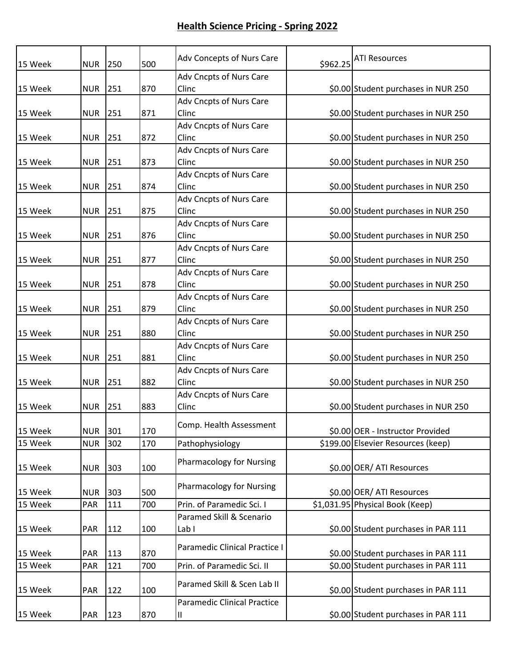| 15 Week | <b>NUR</b> | 250 | 500 | Adv Concepts of Nurs Care               | \$962.25 | <b>ATI Resources</b>                |
|---------|------------|-----|-----|-----------------------------------------|----------|-------------------------------------|
| 15 Week | <b>NUR</b> | 251 | 870 | Adv Cncpts of Nurs Care<br>Clinc        |          | \$0.00 Student purchases in NUR 250 |
| 15 Week | <b>NUR</b> | 251 | 871 | Adv Cncpts of Nurs Care<br>Clinc        |          | \$0.00 Student purchases in NUR 250 |
| 15 Week | <b>NUR</b> | 251 | 872 | Adv Cncpts of Nurs Care<br>Clinc        |          | \$0.00 Student purchases in NUR 250 |
| 15 Week | <b>NUR</b> | 251 | 873 | Adv Cncpts of Nurs Care<br>Clinc        |          | \$0.00 Student purchases in NUR 250 |
| 15 Week | <b>NUR</b> | 251 | 874 | Adv Cncpts of Nurs Care<br>Clinc        |          | \$0.00 Student purchases in NUR 250 |
| 15 Week | <b>NUR</b> | 251 | 875 | Adv Cncpts of Nurs Care<br>Clinc        |          | \$0.00 Student purchases in NUR 250 |
| 15 Week | <b>NUR</b> | 251 | 876 | Adv Cncpts of Nurs Care<br>Clinc        |          | \$0.00 Student purchases in NUR 250 |
| 15 Week | <b>NUR</b> | 251 | 877 | <b>Adv Cncpts of Nurs Care</b><br>Clinc |          | \$0.00 Student purchases in NUR 250 |
| 15 Week | <b>NUR</b> | 251 | 878 | Adv Cncpts of Nurs Care<br>Clinc        |          | \$0.00 Student purchases in NUR 250 |
| 15 Week | <b>NUR</b> | 251 | 879 | Adv Cncpts of Nurs Care<br>Clinc        |          | \$0.00 Student purchases in NUR 250 |
| 15 Week | <b>NUR</b> | 251 | 880 | Adv Cncpts of Nurs Care<br>Clinc        |          | \$0.00 Student purchases in NUR 250 |
| 15 Week | <b>NUR</b> | 251 | 881 | Adv Cncpts of Nurs Care<br>Clinc        |          | \$0.00 Student purchases in NUR 250 |
| 15 Week | <b>NUR</b> | 251 | 882 | Adv Cncpts of Nurs Care<br>Clinc        |          | \$0.00 Student purchases in NUR 250 |
| 15 Week | <b>NUR</b> | 251 | 883 | Adv Cncpts of Nurs Care<br>Clinc        |          | \$0.00 Student purchases in NUR 250 |
| 15 Week | <b>NUR</b> | 301 | 170 | Comp. Health Assessment                 |          | \$0.00 OER - Instructor Provided    |
| 15 Week | <b>NUR</b> | 302 | 170 | Pathophysiology                         |          | \$199.00 Elsevier Resources (keep)  |
| 15 Week | <b>NUR</b> | 303 | 100 | <b>Pharmacology for Nursing</b>         |          | \$0.00 OER/ ATI Resources           |
| 15 Week | <b>NUR</b> | 303 | 500 | <b>Pharmacology for Nursing</b>         |          | \$0.00 OER/ ATI Resources           |
| 15 Week | PAR        | 111 | 700 | Prin. of Paramedic Sci. I               |          | \$1,031.95 Physical Book (Keep)     |
| 15 Week | <b>PAR</b> | 112 | 100 | Paramed Skill & Scenario<br>Lab I       |          | \$0.00 Student purchases in PAR 111 |
| 15 Week | PAR        | 113 | 870 | Paramedic Clinical Practice I           |          | \$0.00 Student purchases in PAR 111 |
| 15 Week | PAR        | 121 | 700 | Prin. of Paramedic Sci. II              |          | \$0.00 Student purchases in PAR 111 |
| 15 Week | PAR        | 122 | 100 | Paramed Skill & Scen Lab II             |          | \$0.00 Student purchases in PAR 111 |
| 15 Week | PAR        | 123 | 870 | <b>Paramedic Clinical Practice</b><br>Ш |          | \$0.00 Student purchases in PAR 111 |